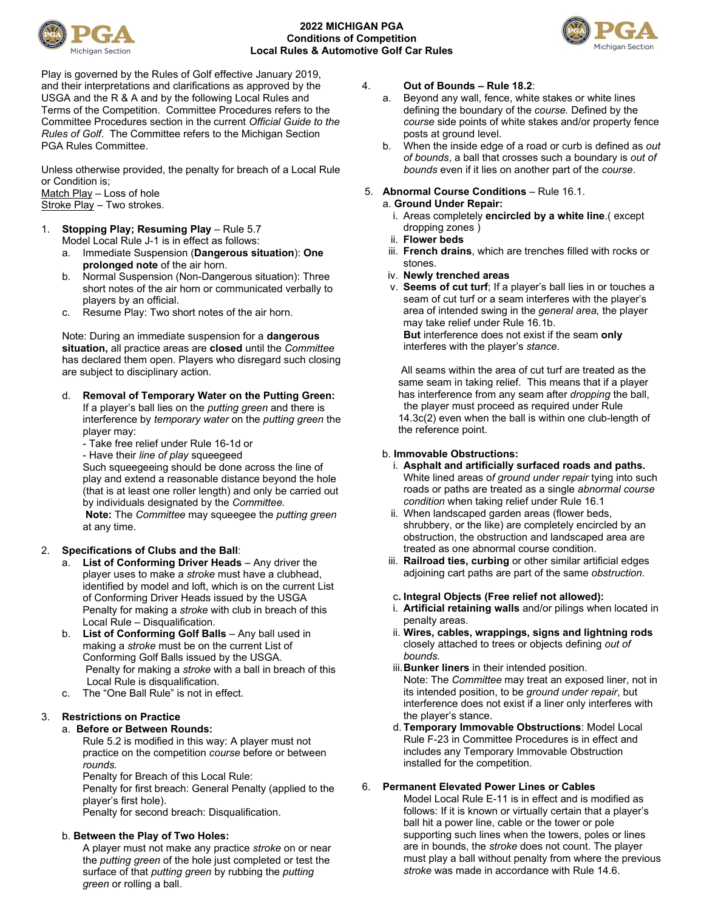

# **2022 MICHIGAN PGA Conditions of Competition Local Rules & Automotive Golf Car Rules**



Play is governed by the Rules of Golf effective January 2019, and their interpretations and clarifications as approved by the USGA and the R & A and by the following Local Rules and Terms of the Competition. Committee Procedures refers to the Committee Procedures section in the current *Official Guide to the Rules of Golf*. The Committee refers to the Michigan Section PGA Rules Committee.

Unless otherwise provided, the penalty for breach of a Local Rule or Condition is; Match Play – Loss of hole

Stroke Play – Two strokes.

# 1. **Stopping Play; Resuming Play** – Rule 5.7

- Model Local Rule J-1 is in effect as follows: a. Immediate Suspension (**Dangerous situation**): **One**
- **prolonged note** of the air horn. b. Normal Suspension (Non-Dangerous situation): Three short notes of the air horn or communicated verbally to players by an official.
- c. Resume Play: Two short notes of the air horn.

Note: During an immediate suspension for a **dangerous situation,** all practice areas are **closed** until the *Committee*  has declared them open. Players who disregard such closing are subject to disciplinary action.

# d. **Removal of Temporary Water on the Putting Green:**

If a player's ball lies on the *putting green* and there is interference by *temporary water* on the *putting green* the player may:

- Take free relief under Rule 16-1d or

- Have their *line of play* squeegeed

Such squeegeeing should be done across the line of play and extend a reasonable distance beyond the hole (that is at least one roller length) and only be carried out by individuals designated by the *Committee.*

**Note:** The *Committee* may squeegee the *putting green* at any time.

# 2. **Specifications of Clubs and the Ball**:

- a. **List of Conforming Driver Heads**  Any driver the player uses to make a *stroke* must have a clubhead, identified by model and loft, which is on the current List of Conforming Driver Heads issued by the USGA Penalty for making a *stroke* with club in breach of this Local Rule – Disqualification.
- b. **List of Conforming Golf Balls**  Any ball used in making a *stroke* must be on the current List of Conforming Golf Balls issued by the USGA. Penalty for making a *stroke* with a ball in breach of this Local Rule is disqualification.
- c. The "One Ball Rule" is not in effect.

# 3. **Restrictions on Practice**

# a. **Before or Between Rounds:**

Rule 5.2 is modified in this way: A player must not practice on the competition *course* before or between *rounds.*

Penalty for Breach of this Local Rule:

Penalty for first breach: General Penalty (applied to the player's first hole).

Penalty for second breach: Disqualification.

# b. **Between the Play of Two Holes:**

A player must not make any practice *stroke* on or near the *putting green* of the hole just completed or test the surface of that *putting green* by rubbing the *putting green* or rolling a ball.

#### 4. **Out of Bounds – Rule 18.2**:

- a. Beyond any wall, fence, white stakes or white lines defining the boundary of the *course.* Defined by the *course* side points of white stakes and/or property fence posts at ground level.
- b. When the inside edge of a road or curb is defined as *out of bounds*, a ball that crosses such a boundary is *out of bounds* even if it lies on another part of the *course*.

# 5. **Abnormal Course Conditions** – Rule 16.1.

- a. **Ground Under Repair:**
	- i. Areas completely **encircled by a white line**.( except dropping zones )
	- ii. **Flower beds**
	- iii. **French drains**, which are trenches filled with rocks or stones.
	- iv. **Newly trenched areas**
	- v. **Seems of cut turf**; If a player's ball lies in or touches a seam of cut turf or a seam interferes with the player's area of intended swing in the *general area,* the player may take relief under Rule 16.1b. **But** interference does not exist if the seam **only** interferes with the player's *stance*.

All seams within the area of cut turf are treated as the same seam in taking relief. This means that if a player has interference from any seam after *dropping* the ball, the player must proceed as required under Rule 14.3c(2) even when the ball is within one club-length of the reference point.

#### b. **Immovable Obstructions:**

- i. **Asphalt and artificially surfaced roads and paths.** White lined areas o*f ground under repair* tying into such roads or paths are treated as a single *abnormal course condition* when taking relief under Rule 16.1
- ii. When landscaped garden areas (flower beds, shrubbery, or the like) are completely encircled by an obstruction, the obstruction and landscaped area are treated as one abnormal course condition.
- iii. **Railroad ties, curbing** or other similar artificial edges adjoining cart paths are part of the same *obstruction.*

#### c**. Integral Objects (Free relief not allowed):**

- i. **Artificial retaining walls** and/or pilings when located in penalty areas.
- ii. **Wires, cables, wrappings, signs and lightning rods** closely attached to trees or objects defining *out of bounds.*
- iii.**Bunker liners** in their intended position. Note: The *Committee* may treat an exposed liner, not in its intended position, to be *ground under repair*, but interference does not exist if a liner only interferes with the player's stance.
- d. **Temporary Immovable Obstructions**: Model Local Rule F-23 in Committee Procedures is in effect and includes any Temporary Immovable Obstruction installed for the competition.

# 6. **Permanent Elevated Power Lines or Cables**

Model Local Rule E-11 is in effect and is modified as follows: If it is known or virtually certain that a player's ball hit a power line, cable or the tower or pole supporting such lines when the towers, poles or lines are in bounds, the *stroke* does not count. The player must play a ball without penalty from where the previous *stroke* was made in accordance with Rule 14.6.